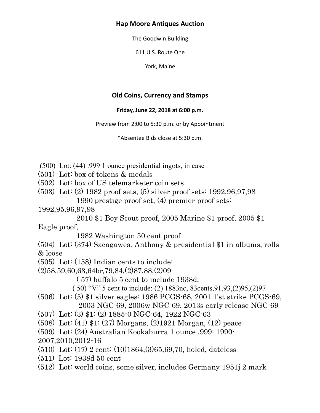### **Hap Moore Antiques Auction**

The Goodwin Building

611 U.S. Route One

York, Maine

# **Old Coins, Currency and Stamps**

#### **Friday, June 22, 2018 at 6:00 p.m.**

Preview from 2:00 to 5:30 p.m. or by Appointment

\*Absentee Bids close at 5:30 p.m.

- (500) Lot: (44) .999 1 ounce presidential ingots, in case
- (501) Lot: box of tokens & medals
- (502) Lot: box of US telemarketer coin sets
- (503) Lot: (2) 1982 proof sets, (5) silver proof sets: 1992,96,97,98 1990 prestige proof set, (4) premier proof sets:
- 1992,95,96,97,98

 2010 \$1 Boy Scout proof, 2005 Marine \$1 proof, 2005 \$1 Eagle proof,

1982 Washington 50 cent proof

(504) Lot: (374) Sacagawea, Anthony & presidential \$1 in albums, rolls & loose

(505) Lot: (158) Indian cents to include:

(2)58,59,60,63,64br,79,84,(2)87,88,(2)09

( 57) buffalo 5 cent to include 1938d,

( 50) "V" 5 cent to include: (2) 1883nc, 83cents,91,93,(2)95,(2)97

(506) Lot: (5) \$1 silver eagles: 1986 PCGS-68, 2001 1'st strike PCGS-69, 2003 NGC-69, 2006w NGC-69, 2013s early release NGC-69

- (507) Lot: (3) \$1: (2) 1885-0 NGC-64, 1922 NGC-63
- (508) Lot: (41) \$1: (27) Morgans, (2)1921 Morgan, (12) peace
- (509) Lot: (24) Australian Kookaburra 1 ounce .999: 1990-
- 2007,2010,2012-16
- (510) Lot: (17) 2 cent: (10)1864,(3)65,69,70, holed, dateless
- (511) Lot: 1938d 50 cent
- (512) Lot: world coins, some silver, includes Germany 1951j 2 mark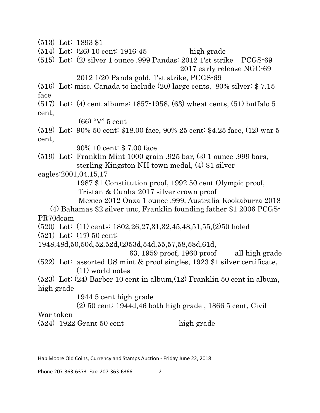(513) Lot: 1893 \$1

(514) Lot: (26) 10 cent: 1916-45 high grade

(515) Lot: (2) silver 1 ounce .999 Pandas: 2012 1'st strike PCGS-69 2017 early release NGC-69

2012 1/20 Panda gold, 1'st strike, PCGS-69

(516) Lot: misc. Canada to include (20) large cents, 80% silver: \$ 7.15 face

(517) Lot: (4) cent albums: 1857-1958, (63) wheat cents, (51) buffalo 5 cent,

(66) "V" 5 cent

(518) Lot: 90% 50 cent: \$18.00 face, 90% 25 cent: \$4.25 face, (12) war 5 cent,

90% 10 cent: \$ 7.00 face

(519) Lot: Franklin Mint 1000 grain .925 bar, (3) 1 ounce .999 bars, sterling Kingston NH town medal, (4) \$1 silver

eagles:2001,04,15,17

 1987 \$1 Constitution proof, 1992 50 cent Olympic proof, Tristan & Cunha 2017 silver crown proof

Mexico 2012 Onza 1 ounce .999, Australia Kookaburra 2018

 (4) Bahamas \$2 silver unc, Franklin founding father \$1 2006 PCGS-PR70dcam

(520) Lot: (11) cents: 1802,26,27,31,32,45,48,51,55,(2)50 holed

(521) Lot: (17) 50 cent:

1948,48d,50,50d,52,52d,(2)53d,54d,55,57,58,58d,61d,

 63, 1959 proof, 1960 proof all high grade (522) Lot: assorted US mint & proof singles, 1923 \$1 silver certificate,

(11) world notes

(523) Lot: (24) Barber 10 cent in album,(12) Franklin 50 cent in album, high grade

1944 5 cent high grade

(2) 50 cent: 1944d,46 both high grade , 1866 5 cent, Civil

War token

 $(524)$  1922 Grant 50 cent high grade

Hap Moore Old Coins, Currency and Stamps Auction - Friday June 22, 2018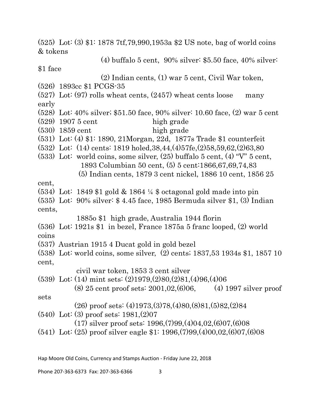(525) Lot: (3) \$1: 1878 7tf,79,990,1953a \$2 US note, bag of world coins & tokens (4) buffalo 5 cent, 90% silver: \$5.50 face, 40% silver: \$1 face (2) Indian cents, (1) war 5 cent, Civil War token, (526) 1893cc \$1 PCGS-35 (527) Lot: (97) rolls wheat cents, (2457) wheat cents loose many early (528) Lot: 40% silver; \$51.50 face, 90% silver: 10.60 face, (2) war 5 cent  $(529)$  1907 5 cent high grade  $(530)$  1859 cent high grade (531) Lot: (4) \$1: 1890, 21Morgan, 22d, 1877s Trade \$1 counterfeit (532) Lot: (14) cents: 1819 holed,38,44,(4)57fe,(2)58,59,62,(2)63,80 (533) Lot: world coins, some silver, (25) buffalo 5 cent, (4) "V" 5 cent, 1893 Columbian 50 cent, (5) 5 cent:1866,67,69,74,83 (5) Indian cents, 1879 3 cent nickel, 1886 10 cent, 1856 25 cent, (534) Lot: 1849 \$1 gold & 1864 ¼ \$ octagonal gold made into pin (535) Lot: 90% silver: \$ 4.45 face, 1985 Bermuda silver \$1, (3) Indian cents, 1885o \$1 high grade, Australia 1944 florin (536) Lot: 1921s \$1 in bezel, France 1875a 5 franc looped, (2) world coins (537) Austrian 1915 4 Ducat gold in gold bezel (538) Lot: world coins, some silver, (2) cents; 1837,53 1934s \$1, 1857 10 cent, civil war token, 1853 3 cent silver (539) Lot: (14) mint sets: (2)1979,(2)80,(2)81,(4)96,(4)06  $(8)$  25 cent proof sets: 2001,02, $(6)$ 06,  $(4)$  1997 silver proof sets (26) proof sets: (4)1973,(3)78,(4)80,(8)81,(5)82,(2)84 (540) Lot: (3) proof sets: 1981,(2)07 (17) silver proof sets: 1996,(7)99,(4)04,02,(6)07,(6)08 (541) Lot: (25) proof silver eagle \$1: 1996,(7)99,(4)00,02,(6)07,(6)08

Hap Moore Old Coins, Currency and Stamps Auction - Friday June 22, 2018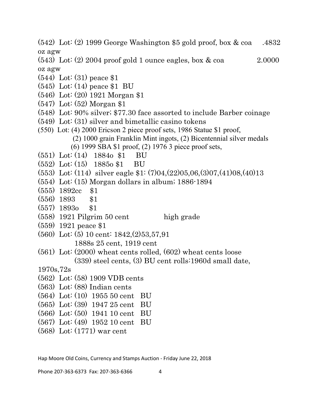(542) Lot: (2) 1999 George Washington \$5 gold proof, box & coa .4832 oz agw

 $(543)$  Lot:  $(2)$  2004 proof gold 1 ounce eagles, box & coa 2.0000 oz agw

- (544) Lot: (31) peace \$1
- (545) Lot: (14) peace \$1 BU
- (546) Lot: (20) 1921 Morgan \$1
- (547) Lot: (52) Morgan \$1
- (548) Lot: 90% silver; \$77.30 face assorted to include Barber coinage
- (549) Lot: (31) silver and bimetallic casino tokens
- (550) Lot: (4) 2000 Ericson 2 piece proof sets, 1986 Statue \$1 proof, (2) 1000 grain Franklin Mint ingots, (2) Bicentennial silver medals (6) 1999 SBA \$1 proof, (2) 1976 3 piece proof sets,
- (551) Lot: (14) 1884o \$1 BU
- (552) Lot: (15) 1885o \$1 BU
- (553) Lot: (114) silver eagle \$1: (7)04,(22)05,06,(3)07,(41)08,(40)13
- (554) Lot: (15) Morgan dollars in album; 1886-1894
- (555) 1892cc \$1
- (556) 1893 \$1
- (557) 1893o \$1
- $(558)$  1921 Pilgrim 50 cent high grade
- (559) 1921 peace \$1
- (560) Lot: (5) 10 cent: 1842,(2)53,57,91 1888s 25 cent, 1919 cent
- (561) Lot: (2000) wheat cents rolled, (602) wheat cents loose (339) steel cents, (3) BU cent rolls:1960d small date,

1970s,72s

- (562) Lot: (58) 1909 VDB cents
- (563) Lot: (88) Indian cents
- (564) Lot: (10) 1955 50 cent BU
- (565) Lot: (39) 1947 25 cent BU
- (566) Lot: (50) 1941 10 cent BU
- (567) Lot: (49) 1952 10 cent BU
- (568) Lot: (1771) war cent

Hap Moore Old Coins, Currency and Stamps Auction - Friday June 22, 2018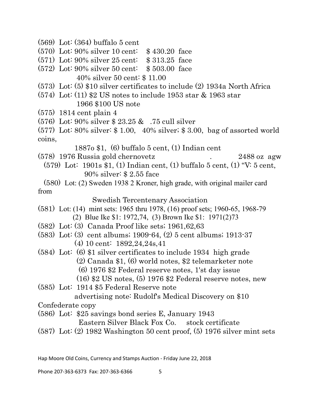- (569) Lot: (364) buffalo 5 cent
- (570) Lot: 90% silver 10 cent: \$ 430.20 face
- (571) Lot: 90% silver 25 cent: \$ 313.25 face
- (572) Lot: 90% silver 50 cent: \$ 503.00 face 40% silver 50 cent: \$ 11.00
- (573) Lot: (5) \$10 silver certificates to include (2) 1934a North Africa
- (574) Lot: (11) \$2 US notes to include 1953 star & 1963 star 1966 \$100 US note
- (575) 1814 cent plain 4
- (576) Lot: 90% silver \$ 23.25 & .75 cull silver

(577) Lot: 80% silver: \$ 1.00, 40% silver; \$ 3.00, bag of assorted world coins,

1887o \$1, (6) buffalo 5 cent, (1) Indian cent

(578) 1976 Russia gold chernovetz . 2488 oz agw

 (579) Lot: 1901s \$1, (1) Indian cent, (1) buffalo 5 cent, (1) "V: 5 cent, 90% silver: \$ 2.55 face

 (580) Lot: (2) Sweden 1938 2 Kroner, high grade, with original mailer card from

Swedish Tercentenary Association

- (581) Lot: (14) mint sets: 1965 thru 1978, (16) proof sets; 1960-65, 1968-79 (2) Blue Ike \$1: 1972,74, (3) Brown Ike \$1: 1971(2)73
- (582) Lot: (3) Canada Proof like sets; 1961,62,63
- (583) Lot: (3) cent albums; 1909-64, (2) 5 cent albums; 1913-37 (4) 10 cent: 1892,24,24s,41
- (584) Lot: (6) \$1 silver certificates to include 1934 high grade (2) Canada \$1, (6) world notes, \$2 telemarketer note
	- (6) 1976 \$2 Federal reserve notes, 1'st day issue
	- (16) \$2 US notes, (5) 1976 \$2 Federal reserve notes, new
- (585) Lot: 1914 \$5 Federal Reserve note advertising note: Rudolf's Medical Discovery on \$10

Confederate copy

(586) Lot: \$25 savings bond series E, January 1943

Eastern Silver Black Fox Co. stock certificate

(587) Lot: (2) 1982 Washington 50 cent proof, (5) 1976 silver mint sets

Hap Moore Old Coins, Currency and Stamps Auction - Friday June 22, 2018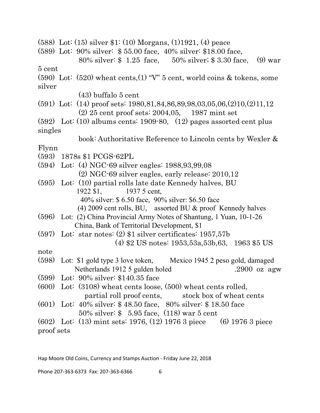| $(588)$ Lot: $(15)$ silver \$1: $(10)$ Morgans, $(1)$ 1921, $(4)$ peace           |
|-----------------------------------------------------------------------------------|
| (589) Lot: 90% silver: \$55.00 face, 40% silver: \$18.00 face,                    |
| 80% silver: $$ 1.25$ face, $50\%$ silver; $$ 3.30$ face, (9) war                  |
| 5 cent                                                                            |
| $(590)$ Lot: $(520)$ wheat cents, $(1)$ "V" 5 cent, world coins & tokens, some    |
| silver                                                                            |
| $(43)$ buffalo 5 cent                                                             |
| $(591)$ Lot: (14) proof sets: 1980,81,84,86,89,98,03,05,06, $(2)10$ , $(2)11$ ,12 |
| $(2)$ 25 cent proof sets: 2004,05, 1987 mint set                                  |
| $(592)$ Lot: $(10)$ albums cents: 1909-80, $(12)$ pages assorted cent plus        |
| singles                                                                           |
| book: Authoritative Reference to Lincoln cents by Wexler &                        |
| Flynn                                                                             |
| (593) 1878s \$1 PCGS-62PL                                                         |
| $(594)$ Lot: (4) NGC-69 silver eagles: 1988,93,99,08                              |
| $(2)$ NGC-69 silver eagles, early release: $2010,12$                              |
| $(595)$ Lot: $(10)$ partial rolls late date Kennedy halves, BU                    |
| 1922 \$1,<br>1937 5 cent,                                                         |
| 40% silver: \$6.50 face, 90% silver: \$6.50 face                                  |
| $(4)$ 2009 cent rolls, BU, assorted BU $\&$ proof Kennedy halves                  |
| (596) Lot: (2) China Provincial Army Notes of Shantung, 1 Yuan, 10-1-26           |
| China, Bank of Territorial Development, \$1                                       |
| $(597)$ Lot: star notes: $(2)$ \$1 silver certificates: 1957,57b                  |
| $(4)$ \$2 US notes: 1953,53a,53b,63, 1963 \$5 US                                  |
| note                                                                              |
| (598)<br>Lot: \$1 gold type 3 love token, Mexico 1945 2 peso gold, damaged        |
| Netherlands 1912 5 gulden holed<br>.2900 oz agw                                   |
| $(599)$ Lot: 90% silver: \$140.35 face                                            |
| $(600)$ Lot: $(3108)$ wheat cents loose, $(500)$ wheat cents rolled,              |
| partial roll proof cents, stock box of wheat cents                                |
| (601) Lot: $40\%$ silver: \$48.50 face, 80% silver: \$18.50 face                  |
| 50% silver: $$5.95$ face, (118) war 5 cent                                        |
| $(602)$ Lot: (13) mint sets: 1976, (12) 1976 3 piece (6) 1976 3 piece             |
| proof sets                                                                        |

Hap Moore Old Coins, Currency and Stamps Auction - Friday June 22, 2018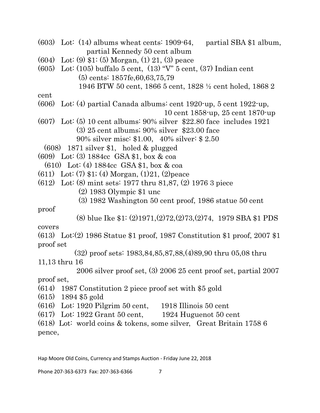- (603) Lot:  $(14)$  albums wheat cents: 1909-64, partial SBA \$1 album, partial Kennedy 50 cent album
- (604) Lot: (9) \$1: (5) Morgan, (1) 21, (3) peace
- (605) Lot: (105) buffalo 5 cent, (13) "V" 5 cent, (37) Indian cent (5) cents: 1857fe,60,63,75,79
	- 1946 BTW 50 cent, 1866 5 cent, 1828 ½ cent holed, 1868 2

cent

(606) Lot: (4) partial Canada albums: cent 1920-up, 5 cent 1922-up,

10 cent 1858-up, 25 cent 1870-up

- (607) Lot: (5) 10 cent albums: 90% silver \$22.80 face includes 1921 (3) 25 cent albums; 90% silver \$23.00 face 90% silver misc: \$1.00, 40% silver: \$ 2.50
- (608) 1871 silver \$1, holed & plugged
- (609) Lot: (3) 1884cc GSA \$1, box & coa
- (610) Lot: (4) 1884cc GSA \$1, box & coa
- (611) Lot: (7) \$1; (4) Morgan, (1)21, (2)peace
- (612) Lot: (8) mint sets: 1977 thru 81,87, (2) 1976 3 piece
	- (2) 1983 Olympic \$1 unc
	- (3) 1982 Washington 50 cent proof, 1986 statue 50 cent

proof

(8) blue Ike \$1: (2)1971,(2)72,(2)73,(2)74, 1979 SBA \$1 PDS

covers

(613) Lot:(2) 1986 Statue \$1 proof, 1987 Constitution \$1 proof, 2007 \$1 proof set

(32) proof sets: 1983,84,85,87,88,(4)89,90 thru 05,08 thru

11,13 thru 16

2006 silver proof set, (3) 2006 25 cent proof set, partial 2007

proof set,

- (614) 1987 Constitution 2 piece proof set with \$5 gold
- (615) 1894 \$5 gold
- 
- (616) Lot: 1920 Pilgrim 50 cent, 1918 Illinois 50 cent  $(617)$  Lot: 1922 Grant 50 cent,

(618) Lot: world coins & tokens, some silver, Great Britain 1758 6 pence,

Hap Moore Old Coins, Currency and Stamps Auction - Friday June 22, 2018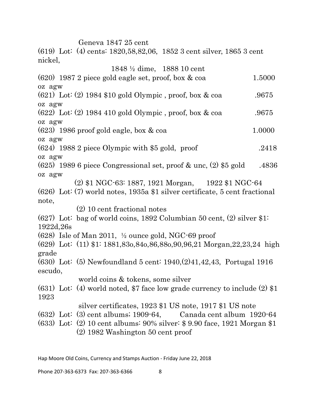Geneva 1847 25 cent

(619) Lot: (4) cents: 1820,58,82,06, 1852 3 cent silver, 1865 3 cent nickel,

|            | 1848 <sup>1</sup> / <sub>2</sub> dime, 1888 10 cent                           |        |
|------------|-------------------------------------------------------------------------------|--------|
|            | $(620)$ 1987 2 piece gold eagle set, proof, box & coa                         | 1.5000 |
| oz agw     |                                                                               |        |
|            | $(621)$ Lot: $(2)$ 1984 \$10 gold Olympic, proof, box & coa                   | .9675  |
| oz agw     |                                                                               |        |
|            | $(622)$ Lot: $(2)$ 1984 410 gold Olympic, proof, box & coa                    | .9675  |
| oz agw     |                                                                               |        |
|            | $(623)$ 1986 proof gold eagle, box & coa                                      | 1.0000 |
| oz agw     |                                                                               |        |
|            | $(624)$ 1988 2 piece Olympic with \$5 gold, proof                             | .2418  |
| oz agw     |                                                                               |        |
|            | $(625)$ 1989 6 piece Congressional set, proof & unc, $(2)$ \$5 gold           | .4836  |
| oz agw     |                                                                               |        |
|            | (2) \$1 NGC-63: 1887, 1921 Morgan, 1922 \$1 NGC-64                            |        |
|            | $(626)$ Lot: (7) world notes, 1935a \$1 silver certificate, 5 cent fractional |        |
| note,      |                                                                               |        |
|            | (2) 10 cent fractional notes                                                  |        |
|            | $(627)$ Lot: bag of world coins, 1892 Columbian 50 cent, $(2)$ silver \$1.    |        |
| 1922d, 26s |                                                                               |        |
|            | $(628)$ Isle of Man 2011, $\frac{1}{2}$ ounce gold, NGC-69 proof              |        |
|            | $(629)$ Lot: $(11)$ \$1: 1881,830,840,86,880,90,96,21 Morgan,22,23,24 high    |        |
| grade      |                                                                               |        |
|            | $(630)$ Lot: (5) Newfoundland 5 cent: $1940,(2)41,42,43$ , Portugal 1916      |        |
| escudo,    |                                                                               |        |
|            | world coins & tokens, some silver                                             |        |
|            | $(631)$ Lot: (4) world noted, \$7 face low grade currency to include (2) \$1  |        |
| 1923       |                                                                               |        |
|            | silver certificates, 1923 \$1 US note, 1917 \$1 US note                       |        |
|            | $(632)$ Lot: $(3)$ cent albums; 1909-64, Canada cent album 1920-64            |        |
|            | $(633)$ Lot: (2) 10 cent albums: 90% silver: \$9.90 face, 1921 Morgan \$1     |        |
|            | $(2)$ 1982 Washington 50 cent proof                                           |        |
|            |                                                                               |        |

Hap Moore Old Coins, Currency and Stamps Auction - Friday June 22, 2018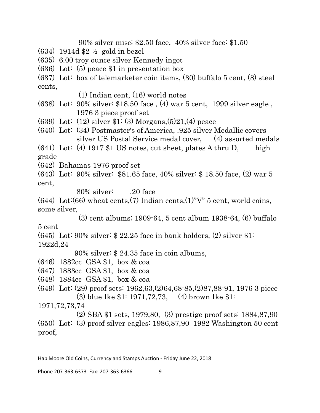90% silver misc; \$2.50 face, 40% silver face: \$1.50

(634) 1914d \$2 ½ gold in bezel

(635) 6.00 troy ounce silver Kennedy ingot

- (636) Lot: (5) peace \$1 in presentation box
- (637) Lot: box of telemarketer coin items, (30) buffalo 5 cent, (8) steel cents,

(1) Indian cent, (16) world notes

(638) Lot: 90% silver: \$18.50 face , (4) war 5 cent, 1999 silver eagle , 1976 3 piece proof set

- (639) Lot: (12) silver \$1: (3) Morgans,(5)21,(4) peace
- (640) Lot: (34) Postmaster's of America, .925 silver Medallic covers silver US Postal Service medal cover, (4) assorted medals

 $(641)$  Lot: (4) 1917 \$1 US notes, cut sheet, plates A thru D, high grade

(642) Bahamas 1976 proof set

(643) Lot: 90% silver: \$81.65 face, 40% silver: \$ 18.50 face, (2) war 5 cent,

 $80\%$  silver:  $20$  face

(644) Lot:(66) wheat cents,(7) Indian cents,(1)"V"  $5$  cent, world coins, some silver,

(3) cent albums; 1909-64, 5 cent album 1938-64, (6) buffalo

5 cent

 $(645)$  Lot: 90% silver: \$ 22.25 face in bank holders,  $(2)$  silver \$1: 1922d,24

90% silver: \$ 24.35 face in coin albums,

- (646) 1882cc GSA \$1, box & coa
- (647) 1883cc GSA \$1, box & coa
- (648) 1884cc GSA \$1, box & coa
- (649) Lot: (29) proof sets: 1962,63,(2)64,68-85,(2)87,88-91, 1976 3 piece (3) blue Ike \$1: 1971,72,73, (4) brown Ike \$1:

1971,72,73,74

 (2) SBA \$1 sets, 1979,80, (3) prestige proof sets: 1884,87,90 (650) Lot: (3) proof silver eagles: 1986,87,90 1982 Washington 50 cent proof,

Hap Moore Old Coins, Currency and Stamps Auction - Friday June 22, 2018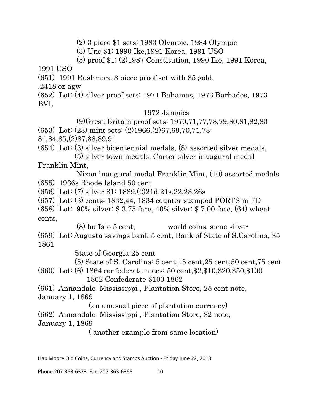(2) 3 piece \$1 sets: 1983 Olympic, 1984 Olympic

(3) Unc \$1: 1990 Ike,1991 Korea, 1991 USO

(5) proof \$1; (2)1987 Constitution, 1990 Ike, 1991 Korea,

1991 USO

(651) 1991 Rushmore 3 piece proof set with \$5 gold,

.2418 oz agw

(652) Lot: (4) silver proof sets: 1971 Bahamas, 1973 Barbados, 1973 BVI,

1972 Jamaica

 (9)Great Britain proof sets: 1970,71,77,78,79,80,81,82,83 (653) Lot: (23) mint sets: (2)1966,(2)67,69,70,71,73-

81,84,85,(2)87,88,89,91

(654) Lot: (3) silver bicentennial medals, (8) assorted silver medals,

 (5) silver town medals, Carter silver inaugural medal Franklin Mint,

 Nixon inaugural medal Franklin Mint, (10) assorted medals (655) 1936s Rhode Island 50 cent

(656) Lot: (7) silver \$1: 1889,(2)21d,21s,22,23,26s

(657) Lot: (3) cents: 1832,44, 1834 counter-stamped PORTS m FD

(658) Lot: 90% silver: \$ 3.75 face, 40% silver: \$ 7.00 face, (64) wheat cents,

 (8) buffalo 5 cent, world coins, some silver (659) Lot: Augusta savings bank 5 cent, Bank of State of S.Carolina, \$5 1861

State of Georgia 25 cent

(5) State of S. Carolina: 5 cent,15 cent,25 cent,50 cent,75 cent

(660) Lot: (6) 1864 confederate notes: 50 cent,\$2,\$10,\$20,\$50,\$100 1862 Confederate \$100 1862

(661) Annandale Mississippi , Plantation Store, 25 cent note, January 1, 1869

(an unusual piece of plantation currency)

(662) Annandale Mississippi , Plantation Store, \$2 note, January 1, 1869

( another example from same location)

Hap Moore Old Coins, Currency and Stamps Auction - Friday June 22, 2018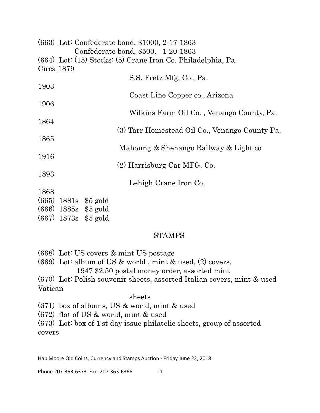|            |               |                        | (663) Lot: Confederate bond, \$1000, 2-17-1863               |
|------------|---------------|------------------------|--------------------------------------------------------------|
|            |               |                        | Confederate bond, \$500, 1-20-1863                           |
|            |               |                        | (664) Lot: (15) Stocks: (5) Crane Iron Co. Philadelphia, Pa. |
| Circa 1879 |               |                        |                                                              |
|            |               |                        | S.S. Fretz Mfg. Co., Pa.                                     |
| 1903       |               |                        |                                                              |
|            |               |                        | Coast Line Copper co., Arizona                               |
| 1906       |               |                        |                                                              |
|            |               |                        | Wilkins Farm Oil Co., Venango County, Pa.                    |
| 1864       |               |                        |                                                              |
|            |               |                        | (3) Tarr Homestead Oil Co., Venango County Pa.               |
| 1865       |               |                        |                                                              |
|            |               |                        | Mahoung & Shenango Railway & Light co                        |
| 1916       |               |                        |                                                              |
|            |               |                        | (2) Harrisburg Car MFG. Co.                                  |
| 1893       |               |                        |                                                              |
|            |               |                        | Lehigh Crane Iron Co.                                        |
| 1868       |               |                        |                                                              |
|            |               | $(665)$ 1881s \$5 gold |                                                              |
|            |               | $(666)$ 1885s \$5 gold |                                                              |
|            | $(667)$ 1873s | \$5 gold               |                                                              |

#### STAMPS

(668) Lot: US covers & mint US postage

(669) Lot: album of US & world , mint & used, (2) covers, 1947 \$2.50 postal money order, assorted mint

(670) Lot: Polish souvenir sheets, assorted Italian covers, mint & used Vatican

#### sheets

(671) box of albums, US & world, mint & used

(672) flat of US & world, mint & used

(673) Lot: box of 1'st day issue philatelic sheets, group of assorted covers

Hap Moore Old Coins, Currency and Stamps Auction - Friday June 22, 2018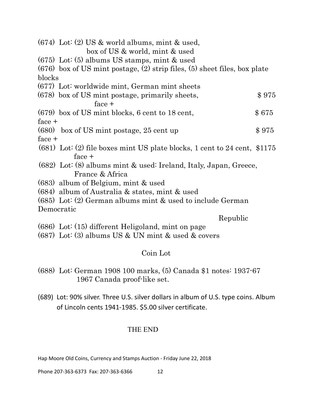|          | $(674)$ Lot: (2) US & world albums, mint & used,<br>box of US & world, mint & used |       |
|----------|------------------------------------------------------------------------------------|-------|
|          | $(675)$ Lot: (5) albums US stamps, mint & used                                     |       |
|          | $(676)$ box of US mint postage, (2) strip files, (5) sheet files, box plate        |       |
| blocks   |                                                                                    |       |
|          | (677) Lot: worldwide mint, German mint sheets                                      |       |
|          | (678) box of US mint postage, primarily sheets,                                    | \$975 |
|          | $face +$                                                                           |       |
|          | (679) box of US mint blocks, 6 cent to 18 cent,                                    | \$675 |
| $face +$ |                                                                                    |       |
|          | (680) box of US mint postage, 25 cent up                                           | \$975 |
| face $+$ |                                                                                    |       |
|          | $(681)$ Lot: (2) file boxes mint US plate blocks, 1 cent to 24 cent, \$1175        |       |
|          | $face +$                                                                           |       |
|          | (682) Lot: (8) albums mint & used: Ireland, Italy, Japan, Greece,                  |       |
|          | France & Africa                                                                    |       |
|          | (683) album of Belgium, mint & used                                                |       |
|          | $(684)$ album of Australia & states, mint & used                                   |       |
|          | $(685)$ Lot: (2) German albums mint & used to include German                       |       |
|          | Democratic                                                                         |       |
|          | Republic                                                                           |       |
|          | (686) Lot: (15) different Heligoland, mint on page                                 |       |
|          | $(687)$ Lot: (3) albums US & UN mint & used & covers                               |       |

# Coin Lot

- (688) Lot: German 1908 100 marks, (5) Canada \$1 notes: 1937-67 1967 Canada proof-like set.
- (689) Lot: 90% silver. Three U.S. silver dollars in album of U.S. type coins. Album of Lincoln cents 1941-1985. \$5.00 silver certificate.

## THE END

Hap Moore Old Coins, Currency and Stamps Auction - Friday June 22, 2018